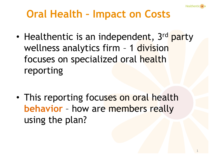

• Healthentic is an independent, 3<sup>rd</sup> party wellness analytics firm - 1 division focuses on specialized oral health reporting

• This reporting focuses on oral health **behavior** – how are members really using the plan?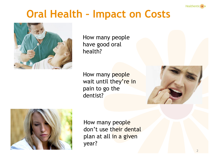



How many people have good oral health?

How many people wait until they're in pain to go the dentist?





How many people don't use their dental plan at all in a given year?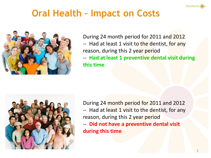



During 24 month period for 2011 and 2012 -- Had at least 1 visit to the dentist, for any reason, during this 2 year period

-- **Had at least 1 preventive dental visit during this time**



During 24 month period for 2011 and 2012 -- Had at least 1 visit to the dentist, for any reason, during this 2 year period

-- **Did not have a preventive dental visit during this time**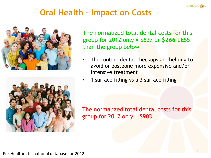





The normalized total dental costs for this group for 2012 only = \$637 or **\$266 LESS**  than the group below

- The routine dental checkups are helping to avoid or postpone more expensive and/or intensive treatment
- 1 surface filling vs a 3 surface filling

The normalized total dental costs for this group for  $2012$  only =  $$903$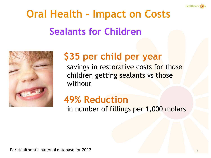

# **Oral Health – Impact on Costs Sealants for Children**



### **\$35 per child per year**

savings in restorative costs for those children getting sealants vs those without

#### **49% Reduction** in number of fillings per 1,000 molars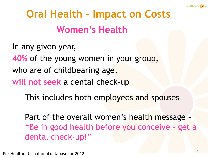

# **Oral Health – Impact on Costs Women's Health**

In any given year,

**40%** of the young women in your group,

who are of childbearing age,

**will not seek** a dental check-up

This includes both employees and spouses

Part of the overall women's health message – "Be in good health before you conceive – get a dental check-up!"